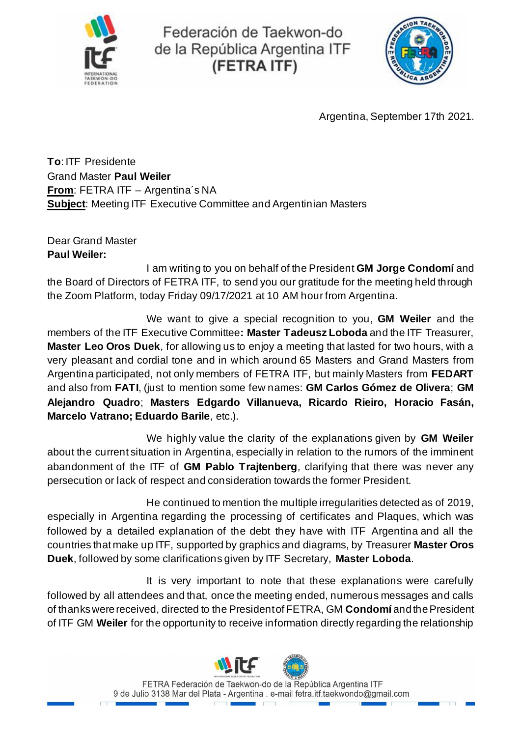

Federación de Taekwon-do de la República Argentina ITF (FETRA ITF)



Argentina, September 17th 2021.

**To**: ITF Presidente Grand Master **Paul Weiler From**: FETRA ITF – Argentina´s NA **Subject**: Meeting ITF Executive Committee and Argentinian Masters

Dear Grand Master **Paul Weiler:**

I am writing to you on behalf of the President **GM Jorge Condomí** and the Board of Directors of FETRA ITF, to send you our gratitude for the meeting held through the Zoom Platform, today Friday 09/17/2021 at 10 AM hour from Argentina.

We want to give a special recognition to you, **GM Weiler** and the members of the ITF Executive Committee**: Master Tadeusz Loboda** and the ITF Treasurer, **Master Leo Oros Duek**, for allowing us to enjoy a meeting that lasted for two hours, with a very pleasant and cordial tone and in which around 65 Masters and Grand Masters from Argentina participated, not only members of FETRA ITF, but mainly Masters from **FEDART** and also from **FATI**, (just to mention some few names: **GM Carlos Gómez de Olivera**; **GM Alejandro Quadro**; **Masters Edgardo Villanueva, Ricardo Rieiro, Horacio Fasán, Marcelo Vatrano; Eduardo Barile**, etc.).

We highly value the clarity of the explanations given by **GM Weiler** about the current situation in Argentina, especially in relation to the rumors of the imminent abandonment of the ITF of **GM Pablo Trajtenberg**, clarifying that there was never any persecution or lack of respect and consideration towards the former President.

He continued to mention the multiple irregularities detected as of 2019, especially in Argentina regarding the processing of certificates and Plaques, which was followed by a detailed explanation of the debt they have with ITF Argentina and all the countries that make up ITF, supported by graphics and diagrams, by Treasurer **Master Oros Duek**, followed by some clarifications given by ITF Secretary, **Master Loboda**.

It is very important to note that these explanations were carefully followed by all attendees and that, once the meeting ended, numerous messages and calls of thanks were received, directed to the President of FETRA, GM **Condomí** and the President of ITF GM **Weiler** for the opportunity to receive information directly regarding the relationship

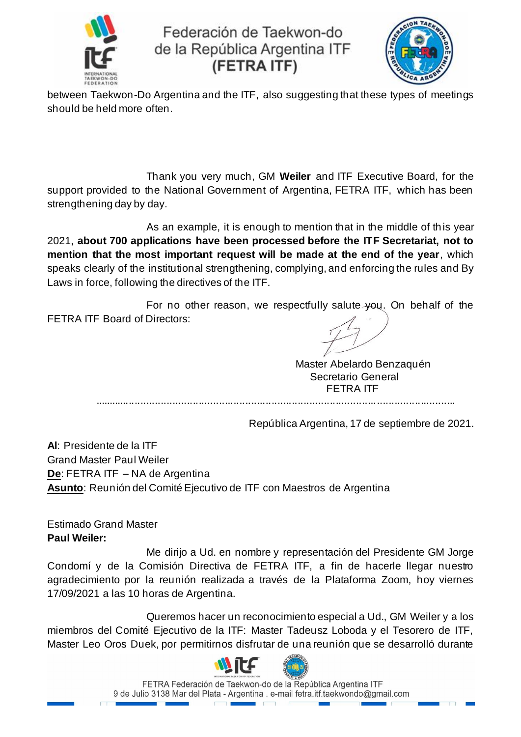

Federación de Taekwon-do de la República Argentina ITF (FETRA ITF)



between Taekwon-Do Argentina and the ITF, also suggesting that these types of meetings should be held more often.

Thank you very much, GM **Weiler** and ITF Executive Board, for the support provided to the National Government of Argentina, FETRA ITF, which has been strengthening day by day.

As an example, it is enough to mention that in the middle of this year 2021, **about 700 applications have been processed before the ITF Secretariat, not to mention that the most important request will be made at the end of the year**, which speaks clearly of the institutional strengthening, complying, and enforcing the rules and By Laws in force, following the directives of the ITF.

For no other reason, we respectfully salute you. On behalf of the FETRA ITF Board of Directors:

Master Abelardo Benzaquén Secretario General FETRA ITF

............................................................................................................................

República Argentina, 17 de septiembre de 2021.

**Al**: Presidente de la ITF Grand Master Paul Weiler **De**: FETRA ITF – NA de Argentina **Asunto**: Reunión del Comité Ejecutivo de ITF con Maestros de Argentina

Estimado Grand Master **Paul Weiler:**

Me dirijo a Ud. en nombre y representación del Presidente GM Jorge Condomí y de la Comisión Directiva de FETRA ITF, a fin de hacerle llegar nuestro agradecimiento por la reunión realizada a través de la Plataforma Zoom, hoy viernes 17/09/2021 a las 10 horas de Argentina.

Queremos hacer un reconocimiento especial a Ud., GM Weiler y a los miembros del Comité Ejecutivo de la ITF: Master Tadeusz Loboda y el Tesorero de ITF, Master Leo Oros Duek, por permitirnos disfrutar de una reunión que se desarrolló durante



FETRA Federación de Taekwon-do de la República Argentina ITF 9 de Julio 3138 Mar del Plata - Argentina . e-mail fetra.itf.taekwondo@gmail.com